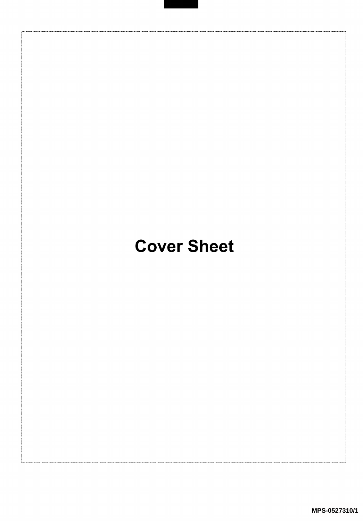## Cover Sheet